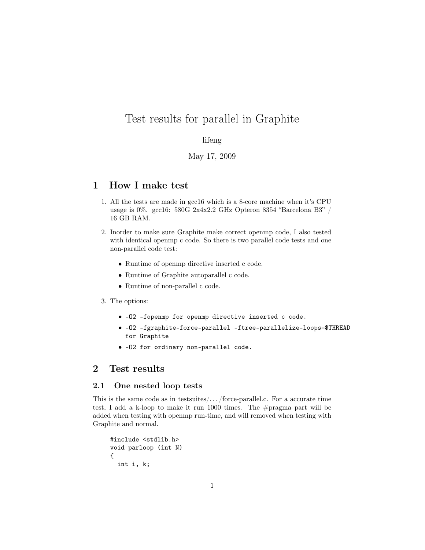# Test results for parallel in Graphite

### lifeng

## May 17, 2009

## 1 How I make test

- 1. All the tests are made in gcc16 which is a 8-core machine when it's CPU usage is 0%. gcc16: 580G 2x4x2.2 GHz Opteron 8354 "Barcelona B3" / 16 GB RAM.
- 2. Inorder to make sure Graphite make correct openmp code, I also tested with identical openmp c code. So there is two parallel code tests and one non-parallel code test:
	- Runtime of openmp directive inserted c code.
	- Runtime of Graphite autoparallel c code.
	- Runtime of non-parallel c code.
- 3. The options:
	- -O2 -fopenmp for openmp directive inserted c code.
	- -O2 -fgraphite-force-parallel -ftree-parallelize-loops=\$THREAD for Graphite
	- -O2 for ordinary non-parallel code.

## 2 Test results

### 2.1 One nested loop tests

This is the same code as in testsuites/ $\dots$ /force-parallel.c. For a accurate time test, I add a k-loop to make it run 1000 times. The #pragma part will be added when testing with openmp run-time, and will removed when testing with Graphite and normal.

```
#include <stdlib.h>
void parloop (int N)
{
  int i, k;
```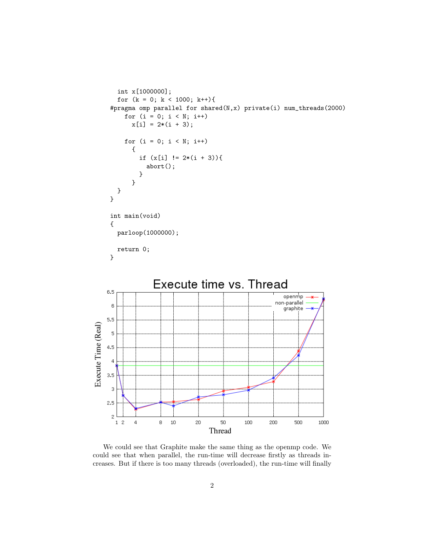```
int x[1000000];
        for (k = 0; k < 1000; k++)#pragma omp parallel for shared(N,x) private(i) num_threads(2000)
          for (i = 0; i < N; i++)x[i] = 2*(i + 3);for (i = 0; i < N; i++){
                if (x[i] := 2*(i + 3))abort();
                }
             }
        }
     }
     int main(void)
     {
        parloop(1000000);
        return 0;
     }
                     Execute time vs. Thread
    6.5
                                                                   openmp
                                                                 non-parallel
     \,6\,graphite
    5,5Execute Time (Real)
     \overline{\mathbf{5}}4,5\overline{4}3.5\,\overline{3}2.5\,\bar{z}\mathbf 1\overline{2}\overline{4}8
                           102050
                                                     100
                                                              200
                                                                       500
                                                                                1000
                                         Thread
```
We could see that Graphite make the same thing as the openmp code. We could see that when parallel, the run-time will decrease firstly as threads increases. But if there is too many threads (overloaded), the run-time will finally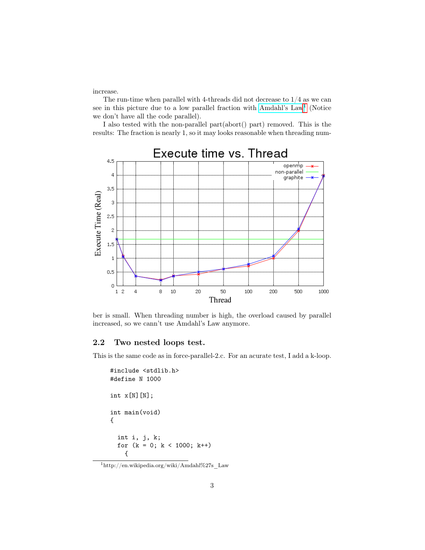increase.

The run-time when parallel with 4-threads did not decrease to  $1/4$  as we can see in this picture due to a low parallel fraction with [Amdahl's Law](http://en.wikipedia.org/wiki/Amdahl%27s_Law)<sup>[1](#page-2-0)</sup> (Notice we don't have all the code parallel).

I also tested with the non-parallel part(abort() part) removed. This is the results: The fraction is nearly 1, so it may looks reasonable when threading num-



ber is small. When threading number is high, the overload caused by parallel increased, so we cann't use Amdahl's Law anymore.

#### 2.2 Two nested loops test.

This is the same code as in force-parallel-2.c. For an acurate test, I add a k-loop.

```
#include <stdlib.h>
#define N 1000
int x[N][N];
int main(void)
{
  int i, j, k;
 for (k = 0; k < 1000; k++){
```
<span id="page-2-0"></span> $1$ http://en.wikipedia.org/wiki/Amdahl%27s Law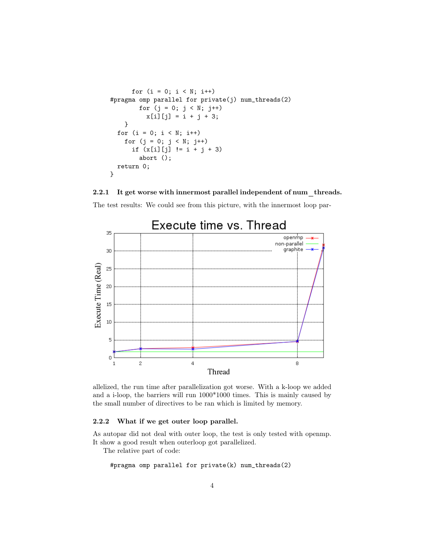```
for (i = 0; i < N; i++)#pragma omp parallel for private(j) num_threads(2)
       for (j = 0; j < N; j++)x[i][j] = i + j + 3;}
 for (i = 0; i < N; i++)for (j = 0; j < N; j++)if (x[i][j] != i + j + 3)abort ();
  return 0;
}
```
#### 2.2.1 It get worse with innermost parallel independent of num threads.





allelized, the run time after parallelization got worse. With a k-loop we added and a i-loop, the barriers will run 1000\*1000 times. This is mainly caused by the small number of directives to be ran which is limited by memory.

#### 2.2.2 What if we get outer loop parallel.

As autopar did not deal with outer loop, the test is only tested with openmp. It show a good result when outerloop got parallelized.

The relative part of code:

```
#pragma omp parallel for private(k) num_threads(2)
```